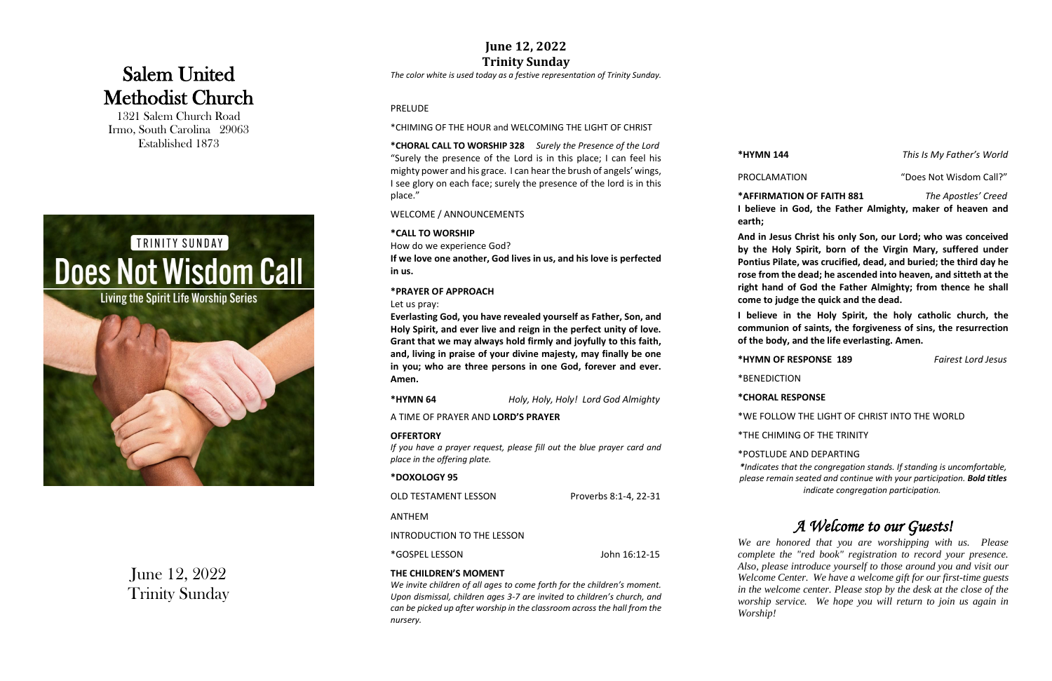# Salem United Methodist Church

June 12, 2022 Trinity Sunday

1321 Salem Church Road Irmo, South Carolina 29063 Established 1873



### **June 12, 2022 Trinity Sunday**

*The color white is used today as a festive representation of Trinity Sunday.*

#### PRELUDE

\*CHIMING OF THE HOUR a nd WELCOMING THE LIGHT OF CHRIST

**\*CHORAL CALL TO WORSHIP 328** *Surely the Presence of the Lord* "Surely the presence of the Lord is in this place; I can feel his mighty power and his grace. I can hear the brush of angels' wings, I see glory on each face; surely the presence of the lord is in this place."

WELCOME / ANNOUNCEMENTS

#### **\*CALL TO WORSHIP**

How do we experience God?

OLD TESTAMENT LESSON -4, 22 -31

**If we love one another, God lives in us, and his love is perfected in us.**

#### **\*PRAYER OF APPROACH**

#### Let us pray:

**Everlasting God, you have revealed yourself as Father, Son, and Holy Spirit, and ever live and reign in the perfect unity of love. Grant that we may always hold firmly and joyfully to this faith, and, living in praise of your divine majesty, may finally be one in you; who are three persons in one God, forever and ever. Amen.**

**\*HYMN 64** *Holy, Holy, Holy! Lord God Almighty*

A TIME OF PRAYER AND **LORD'S PRAYER**

#### **OFFERTORY**

*If you have a prayer request, please fill out the blue prayer card and place in the offering plate.* 

### **\*DOXOLOGY 95**

ANTHEM

INTRODUCTION TO THE LESSON

\*GOSPEL LESSONJohn 16:12

John 16:12-15

#### **THE CHILDREN'S MOMENT**

*We invite children of all ages to come forth for the children's moment. Upon dismissal, children ages 3 -7 are invited to children's church, and can be picked up after worship in the classroom across the hall from the nursery.*

**\*HYMN 144** *This Is My Father's World*

PROCLAMATION "Does Not Wisdom Call?"

**\*AFFIRMATION OF FAITH 881** *The Apostles' Creed* **I believe in God, the Father Almighty, maker of heaven and** 

**earth;**

**And in Jesus Christ his only Son, our Lord; who was conceived by the Holy Spirit, born of the Virgin Mary, suffered under Pontius Pilate, was crucified, dead, and buried; the third day he rose from the dead; he ascended into heaven, and sitteth at the right hand of God the Father Almighty; from thence he shall come to judge the quick and the dead.**

**I believe in the Holy Spirit, the holy catholic church, the communion of saints, the forgiveness of sins, the resurrection of the body, and the life everlasting. Amen.**

**\*HYMN OF RESPONSE 189** *Fairest Lord Jesus*

\*BENEDICTION

**\*CHORAL RESPONSE** 

\*WE FOLLOW THE LIGHT OF CHRIST INTO THE WORLD

\*THE CHIMING OF THE TRINITY

\*POSTLUDE AND DEPARTING

*\*Indicates that the congregation stands. If standing is uncomfortable, please remain seated and continue with your participation. Bold titles indicate congregation participation.*

# *A Welcome to our Guests!*

*We are honored that you are worshipping with us. Please complete the "red book" registration to record your presence. Also, please introduce yourself to those around you and visit our*  Welcome Center. We have a welcome gift for our first-time guests *in the welcome center. Please stop by the desk at the close of the worship service. We hope you will return to join us again in* 

*Worship!*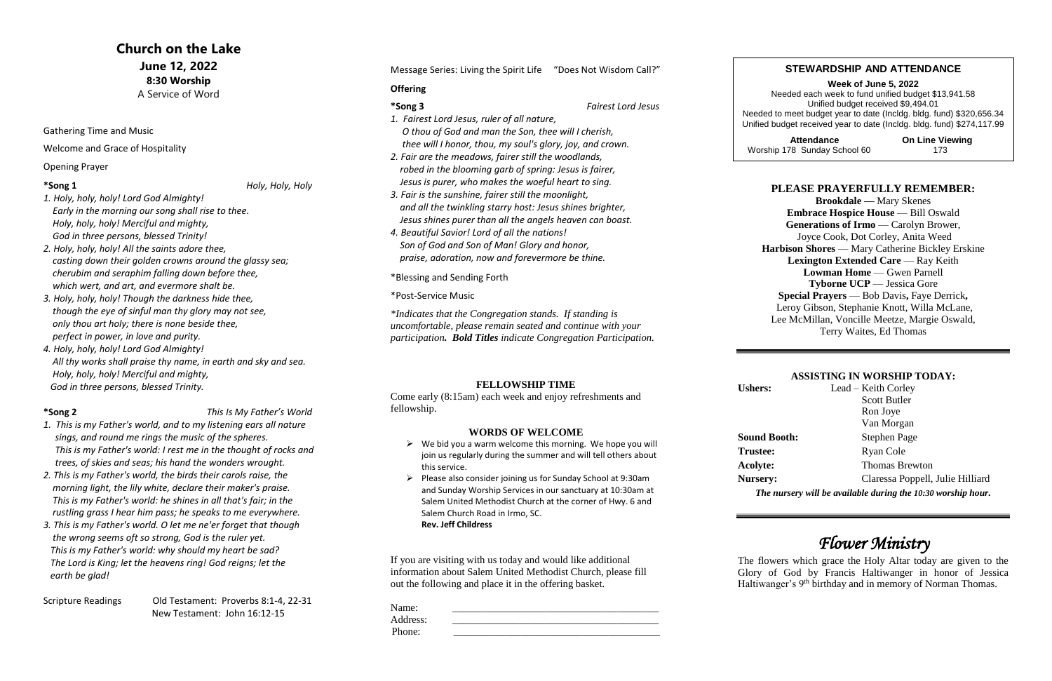### **Church on the Lake**

**June 12, 2022**

**8:30 Worship** 

A Service of Word

Gathering Time and Music

Welcome and Grace of Hospitality

Opening Prayer

### **\*Song 1** *Holy, Holy, Holy*

- *1. Holy, holy, holy! Lord God Almighty! Early in the morning our song shall rise to thee. Holy, holy, holy! Merciful and mighty, God in three persons, blessed Trinity!*
- *2. Holy, holy, holy! All the saints adore thee, casting down their golden crowns around the glassy sea; cherubim and seraphim falling down before thee, which wert, and art, and evermore shalt be.*
- *3. Holy, holy, holy! Though the darkness hide thee, though the eye of sinful man thy glory may not see, only thou art holy; there is none beside thee, perfect in power, in love and purity.*
- *4. Holy, holy, holy! Lord God Almighty! All thy works shall praise thy name, in earth and sky and sea. Holy, holy, holy! Merciful and mighty, God in three persons, blessed Trinity.*

**\*Song 2** *This Is My Father's World*

- *1. This is my Father's world, and to my listening ears all nature sings, and round me rings the music of the spheres. This is my Father's world: I rest me in the thought of rocks and trees, of skies and seas; his hand the wonders wrought.*
- *2. This is my Father's world, the birds their carols raise, the morning light, the lily white, declare their maker's praise. This is my Father's world: he shines in all that's fair; in the rustling grass I hear him pass; he speaks to me everywhere.*
- *3. This is my Father's world. O let me ne'er forget that though the wrong seems oft so strong, God is the ruler yet. This is my Father's world: why should my heart be sad? The Lord is King; let the heavens ring! God reigns; let the earth be glad!*
- $\triangleright$  We bid you a warm welcome this morning. We hope you will join us regularly during the summer and will tell others about this service.
- ➢ Please also consider joining us for Sunday School at 9:30am and Sunday Worship Services in our sanctuary at 10:30am at Salem United Methodist Church at the corner of Hwy. 6 and Salem Church Road in Irmo, SC. **Rev. Jeff Childress**

#### Scripture Readings Old Testament: Proverbs 8:1-4, 22-31 New Testament: John 16:12-15

Message Series: Living the Spirit Life "Does Not Wisdom Call?"

| $\sim$ . The set of the state of the state of the state of the state of the state of the state of the state of the state of the state of the state of the state of the state of the state of the state of the state of the stat |                           |  |
|---------------------------------------------------------------------------------------------------------------------------------------------------------------------------------------------------------------------------------|---------------------------|--|
| <b>Offering</b>                                                                                                                                                                                                                 |                           |  |
| *Song 3                                                                                                                                                                                                                         | <b>Fairest Lord Jesus</b> |  |
| 1. Fairest Lord Jesus, ruler of all nature,                                                                                                                                                                                     |                           |  |
| O thou of God and man the Son, thee will I cherish,                                                                                                                                                                             |                           |  |
| thee will I honor, thou, my soul's glory, joy, and crown.                                                                                                                                                                       |                           |  |
| 2. Fair are the meadows, fairer still the woodlands,                                                                                                                                                                            |                           |  |
| robed in the blooming garb of spring: Jesus is fairer,                                                                                                                                                                          |                           |  |
| Jesus is purer, who makes the woeful heart to sing.                                                                                                                                                                             |                           |  |
| 3. Fair is the sunshine, fairer still the moonlight,                                                                                                                                                                            |                           |  |
| and all the twinkling starry host: Jesus shines brighter,                                                                                                                                                                       |                           |  |

The flowers which grace the Holy Altar today are given to the Glory of God by Francis Haltiwanger in honor of Jessica Haltiwanger's 9<sup>th</sup> birthday and in memory of Norman Thomas.

 *Jesus shines purer than all the angels heaven can boast. 4. Beautiful Savior! Lord of all the nations! Son of God and Son of Man! Glory and honor, praise, adoration, now and forevermore be thine.*

\*Blessing and Sending Forth

\*Post-Service Music

*\*Indicates that the Congregation stands. If standing is uncomfortable, please remain seated and continue with your participation. Bold Titles indicate Congregation Participation.*

#### **FELLOWSHIP TIME**

Come early (8:15am) each week and enjoy refreshments and fellowship.

#### **WORDS OF WELCOME**

If you are visiting with us today and would like additional information about Salem United Methodist Church, please fill out the following and place it in the offering basket.

Name: \_\_\_\_\_\_\_\_\_\_\_\_\_\_\_\_\_\_\_\_\_\_\_\_\_\_\_\_\_\_\_\_\_\_\_\_\_\_\_\_ Address: Phone: \_\_\_\_\_\_\_\_\_\_\_\_\_\_\_\_\_\_\_\_\_\_\_\_\_\_\_\_\_\_\_\_\_\_\_\_\_\_\_\_

Worshi

#### **STEWARDSHIP AND ATTENDANCE**

**Week of June 5, 2022**

Needed each week to fund unified budget \$13,941.58 Unified budget received \$9,494.01 Needed to meet budget year to date (Incldg. bldg. fund) \$320,656.34

Unified budget received year to date (Incldg. bldg. fund) \$274,117.99

| <b>Attendance</b>      | <b>On Line Viewing</b> |  |
|------------------------|------------------------|--|
| p 178 Sunday School 60 | 173                    |  |

**PLEASE PRAYERFULLY REMEMBER: Brookdale —** Mary Skenes **Embrace Hospice House** — Bill Oswald Generations of Irmo — Carolyn Brower, Joyce Cook, Dot Corley, Anita Weed **Harbison Shores** — Mary Catherine Bickley Erskine **Lexington Extended Care** — Ray Keith **Lowman Home — Gwen Parnell Tyborne UCP** — Jessica Gore **Special Prayers** — Bob Davis**,** Faye Derrick**,** Leroy Gibson, Stephanie Knott, Willa McLane, Lee McMillan, Voncille Meetze, Margie Oswald, Terry Waites, Ed Thomas

#### **ASSISTING IN WORSHIP TODAY:**

| <b>Ushers:</b>      | Lead – Keith Corley                                          |
|---------------------|--------------------------------------------------------------|
|                     | <b>Scott Butler</b>                                          |
|                     | Ron Joye                                                     |
|                     | Van Morgan                                                   |
| <b>Sound Booth:</b> | Stephen Page                                                 |
| <b>Trustee:</b>     | Ryan Cole                                                    |
| Acolyte:            | <b>Thomas Brewton</b>                                        |
| Nursery:            | Claressa Poppell, Julie Hilliard                             |
|                     | The nursery will be available during the 10:30 worship hour. |

# *Flower Ministry*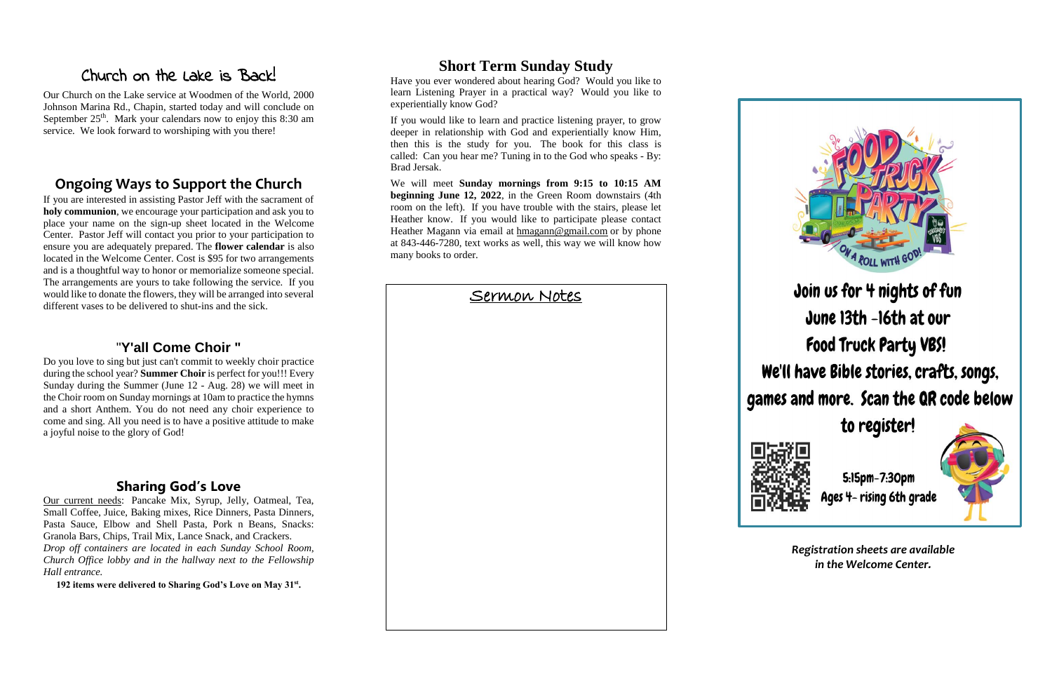# Church on the Lake is Back!

Our Church on the Lake service at Woodmen of the World, 2000 Johnson Marina Rd., Chapin, started today and will conclude on September  $25<sup>th</sup>$ . Mark your calendars now to enjoy this 8:30 am service. We look forward to worshiping with you there!

## **Ongoing Ways to Support the Church**

If you are interested in assisting Pastor Jeff with the sacrament of **holy communion**, we encourage your participation and ask you to place your name on the sign-up sheet located in the Welcome Center. Pastor Jeff will contact you prior to your participation to ensure you are adequately prepared. The **flower calendar** is also located in the Welcome Center. Cost is \$95 for two arrangements and is a thoughtful way to honor or memorialize someone special. The arrangements are yours to take following the service. If you would like to donate the flowers, they will be arranged into several different vases to be delivered to shut-ins and the sick.

### "**Y'all Come Choir "**

Do you love to sing but just can't commit to weekly choir practice during the school year? **Summer Choir** is perfect for you!!! Every Sunday during the Summer (June 12 - Aug. 28) we will meet in the Choir room on Sunday mornings at 10am to practice the hymns and a short Anthem. You do not need any choir experience to come and sing. All you need is to have a positive attitude to make a joyful noise to the glory of God!

### **Sharing God's Love**

Our current needs: Pancake Mix, Syrup, Jelly, Oatmeal, Tea, Small Coffee, Juice, Baking mixes, Rice Dinners, Pasta Dinners, Pasta Sauce, Elbow and Shell Pasta, Pork n Beans, Snacks: Granola Bars, Chips, Trail Mix, Lance Snack, and Crackers. *Drop off containers are located in each Sunday School Room, Church Office lobby and in the hallway next to the Fellowship Hall entrance.* 

**192 items were delivered to Sharing God's Love on May 31st .** 

## **Short Term Sunday Study**

Have you ever wondered about hearing God? Would you like to learn Listening Prayer in a practical way? Would you like to experientially know God?

If you would like to learn and practice listening prayer, to grow deeper in relationship with God and experientially know Him, then this is the study for you. The book for this class is called: Can you hear me? Tuning in to the God who speaks - By: Brad Jersak.

We will meet **Sunday mornings from 9:15 to 10:15 AM beginning June 12, 2022**, in the Green Room downstairs (4th room on the left). If you have trouble with the stairs, please let Heather know. If you would like to participate please contact Heather Magann via email at [hmagann@gmail.com](mailto:hmagann@gmail.com) or by phone at 843-446-7280, text works as well, this way we will know how many books to order.







# Join us for 4 nights of fun June 13th -16th at our Food Truck Party VBS! We'll have Bible stories, crafts, songs, games and more. Scan the QR code below to register!



5:15pm-7:30pm **Ages 4– rising 6th grade** 



*Registration sheets are available in the Welcome Center.*